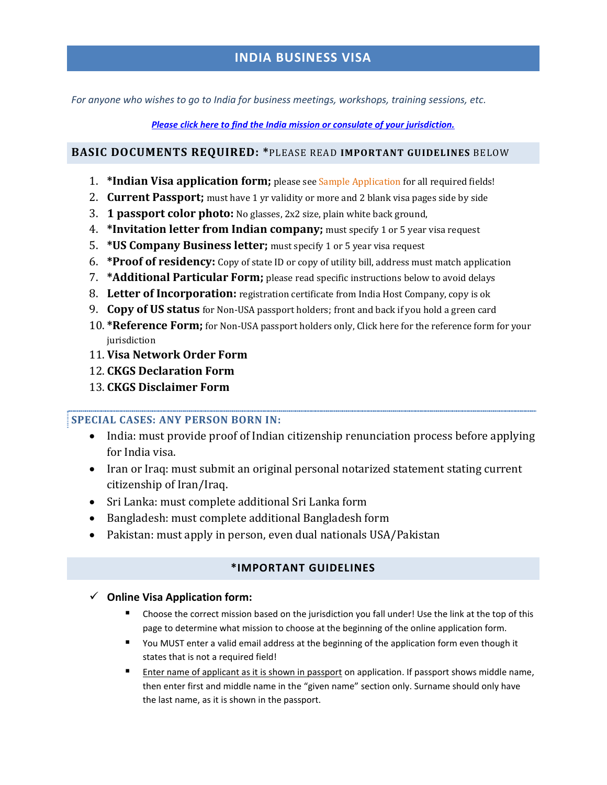# **INDIA BUSINESS VISA**

*For anyone who wishes to go to India for business meetings, workshops, training sessions, etc.*

*[Please click here to find the India mission or consulate of your jurisdiction.](http://visanetwork.com/india.shtml)*

### **BASIC DOCUMENTS REQUIRED: \***PLEASE READ **IMPORTANT GUIDELINES** BELOW

- 1. **\*Indian Visa application form;** please see Sample Application for all required fields!
- 2. **Current Passport;** must have 1 yr validity or more and 2 blank visa pages side by side
- 3. **1 passport color photo:** No glasses, 2x2 size, plain white back ground,
- 4. **\*Invitation letter from Indian company;** must specify 1 or 5 year visa request
- 5. **\*US Company Business letter;** must specify 1 or 5 year visa request
- 6. **\*Proof of residency:** Copy of state ID or copy of utility bill, address must match application
- 7. **\*Additional Particular Form;** please read specific instructions below to avoid delays
- 8. **Letter of Incorporation:** registration certificate from India Host Company, copy is ok
- 9. **Copy of US status** for Non-USA passport holders; front and back if you hold a green card
- 10. **\*Reference Form;** for Non-USA passport holders only, Click here for the reference form for your iurisdiction
- 11. **Visa Network Order Form**
- 12. **CKGS Declaration Form**
- 13. **CKGS Disclaimer Form**

## **SPECIAL CASES: ANY PERSON BORN IN:**

- India: must provide proof of Indian citizenship renunciation process before applying for India visa.
- Iran or Iraq: must submit an original personal notarized statement stating current citizenship of Iran/Iraq.
- Sri Lanka: must complete additional Sri Lanka form
- Bangladesh: must complete additional Bangladesh form
- Pakistan: must apply in person, even dual nationals USA/Pakistan

## **\*IMPORTANT GUIDELINES**

- **Online Visa Application form:** 
	- Choose the correct mission based on the jurisdiction you fall under! Use the link at the top of this page to determine what mission to choose at the beginning of the online application form.
	- You MUST enter a valid email address at the beginning of the application form even though it states that is not a required field!
	- **E** Enter name of applicant as it is shown in passport on application. If passport shows middle name, then enter first and middle name in the "given name" section only. Surname should only have the last name, as it is shown in the passport.